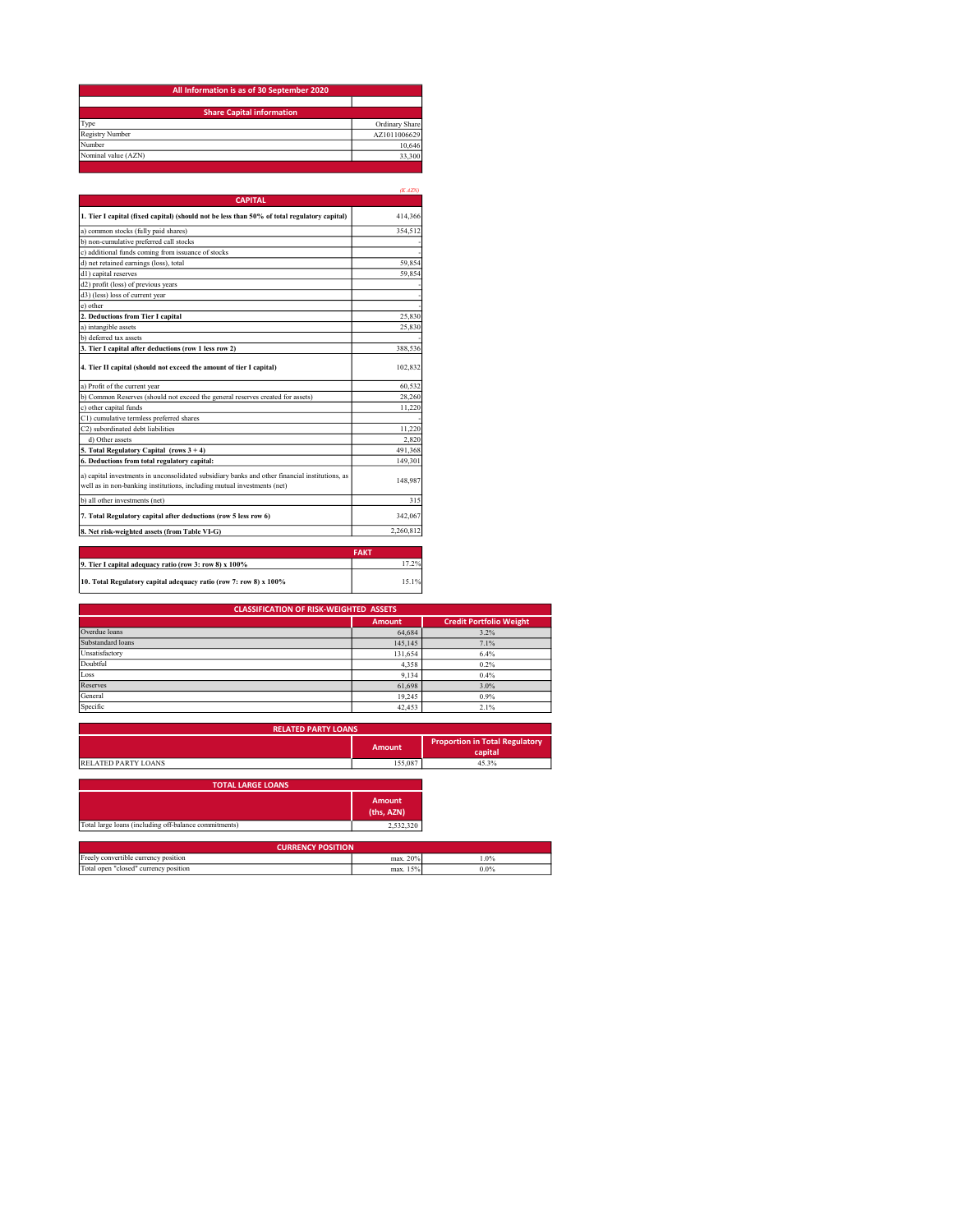| All Information is as of 30 September 2020 |                |  |  |
|--------------------------------------------|----------------|--|--|
|                                            |                |  |  |
| <b>Share Capital information</b>           |                |  |  |
| Type                                       | Ordinary Share |  |  |
| Registry Number                            | AZ1011006629   |  |  |
| Number                                     | 10.646         |  |  |
| Nominal value (AZN)                        | 33,300         |  |  |

|                                                                                                                                                                           | (KAZN)      |
|---------------------------------------------------------------------------------------------------------------------------------------------------------------------------|-------------|
| <b>CAPITAL</b>                                                                                                                                                            |             |
| 1. Tier I capital (fixed capital) (should not be less than 50% of total regulatory capital)                                                                               | 414,366     |
| a) common stocks (fully paid shares)                                                                                                                                      | 354,512     |
| b) non-cumulative preferred call stocks                                                                                                                                   |             |
| c) additional funds coming from issuance of stocks                                                                                                                        |             |
| d) net retained earnings (loss), total                                                                                                                                    | 59.854      |
| d1) capital reserves                                                                                                                                                      | 59.854      |
| d2) profit (loss) of previous years                                                                                                                                       |             |
| d3) (less) loss of current year                                                                                                                                           |             |
| e) other                                                                                                                                                                  |             |
| 2. Deductions from Tier I capital                                                                                                                                         | 25,830      |
| a) intangible assets                                                                                                                                                      | 25,830      |
| b) deferred tax assets                                                                                                                                                    |             |
| 3. Tier I capital after deductions (row 1 less row 2)                                                                                                                     | 388.536     |
| 4. Tier II capital (should not exceed the amount of tier I capital)                                                                                                       | 102,832     |
| a) Profit of the current year                                                                                                                                             | 60.532      |
| b) Common Reserves (should not exceed the general reserves created for assets)                                                                                            | 28,260      |
| c) other capital funds                                                                                                                                                    | 11.220      |
| C1) cumulative termless preferred shares                                                                                                                                  |             |
| C2) subordinated debt liabilities                                                                                                                                         | 11.220      |
| d) Other assets                                                                                                                                                           | 2.820       |
| 5. Total Regulatory Capital (rows $3 + 4$ )                                                                                                                               | 491,368     |
| 6. Deductions from total regulatory capital:                                                                                                                              | 149.301     |
| a) capital investments in unconsolidated subsidiary banks and other financial institutions, as<br>well as in non-banking institutions, including mutual investments (net) | 148,987     |
| b) all other investments (net)                                                                                                                                            | 315         |
| 7. Total Regulatory capital after deductions (row 5 less row 6)                                                                                                           | 342,067     |
| 8. Net risk-weighted assets (from Table VI-G)                                                                                                                             | 2,260,812   |
|                                                                                                                                                                           |             |
|                                                                                                                                                                           | <b>FAKT</b> |
| 9. Tier I capital adequacy ratio (row 3: row 8) x 100%                                                                                                                    | 17.2%       |

10. Total Regulatory capital adequacy ratio (row 7: row 8) x 100% 15.1%

| <b>CLASSIFICATION OF RISK-WEIGHTED ASSETS</b> |               |                                |  |
|-----------------------------------------------|---------------|--------------------------------|--|
|                                               | <b>Amount</b> | <b>Credit Portfolio Weight</b> |  |
| Overdue loans                                 | 64,684        | 3.2%                           |  |
| Substandard loans                             | 145,145       | 7.1%                           |  |
| Unsatisfactory                                | 131,654       | 6.4%                           |  |
| Doubtful                                      | 4,358         | 0.2%                           |  |
| Loss                                          | 9.134         | 0.4%                           |  |
| Reserves                                      | 61,698        | 3.0%                           |  |
| General                                       | 19.245        | 0.9%                           |  |
| Specific                                      | 42,453        | 2.1%                           |  |

| <b>RELATED PARTY LOANS</b> |         |                                                  |
|----------------------------|---------|--------------------------------------------------|
|                            | Amount  | <b>Proportion in Total Regulatory</b><br>capital |
| <b>RELATED PARTY LOANS</b> | 155,087 | 45.3%                                            |
|                            |         |                                                  |

| <b>TOTAL LARGE LOANS</b>                              |                             |         |  |  |
|-------------------------------------------------------|-----------------------------|---------|--|--|
|                                                       | <b>Amount</b><br>(ths, AZN) |         |  |  |
| Total large loans (including off-balance commitments) | 2,532,320                   |         |  |  |
| <b>CURRENCY POSITION</b>                              |                             |         |  |  |
| Freely convertible currency position                  | max. 20%                    | 1.0%    |  |  |
| Total open "closed" currency position                 | max. 15%                    | $0.0\%$ |  |  |